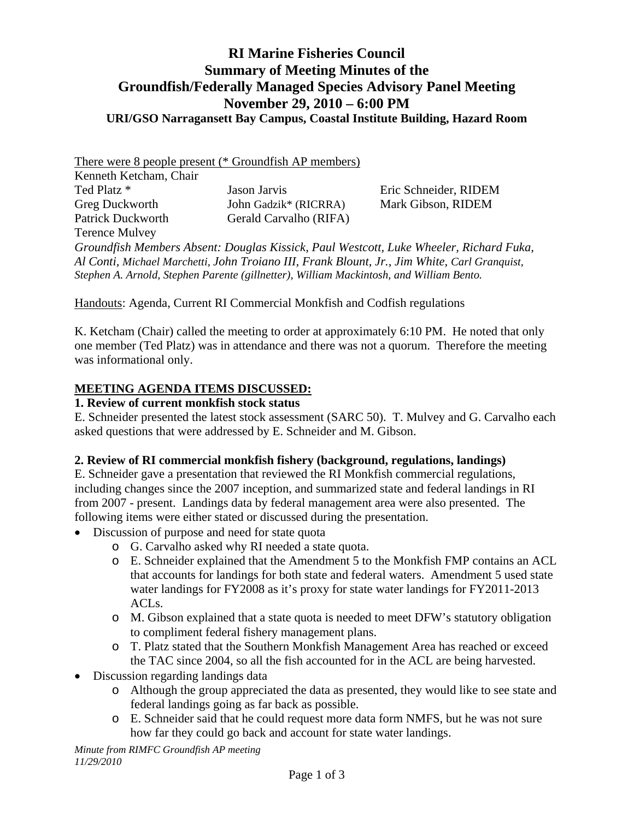#### **RI Marine Fisheries Council Summary of Meeting Minutes of the Groundfish/Federally Managed Species Advisory Panel Meeting November 29, 2010 – 6:00 PM URI/GSO Narragansett Bay Campus, Coastal Institute Building, Hazard Room**

There were 8 people present (\* Groundfish AP members) Kenneth Ketcham, Chair Ted Platz \* Jason Jarvis Eric Schneider, RIDEM Greg Duckworth John Gadzik\* (RICRRA) Mark Gibson, RIDEM Patrick Duckworth Gerald Carvalho (RIFA) Terence Mulvey *Groundfish Members Absent: Douglas Kissick, Paul Westcott, Luke Wheeler, Richard Fuka, Al Conti, Michael Marchetti, John Troiano III, Frank Blount, Jr., Jim White, Carl Granquist, Stephen A. Arnold, Stephen Parente (gillnetter), William Mackintosh, and William Bento.*

Handouts: Agenda, Current RI Commercial Monkfish and Codfish regulations

K. Ketcham (Chair) called the meeting to order at approximately 6:10 PM. He noted that only one member (Ted Platz) was in attendance and there was not a quorum. Therefore the meeting was informational only.

#### **MEETING AGENDA ITEMS DISCUSSED:**

#### **1. Review of current monkfish stock status**

E. Schneider presented the latest stock assessment (SARC 50). T. Mulvey and G. Carvalho each asked questions that were addressed by E. Schneider and M. Gibson.

#### **2. Review of RI commercial monkfish fishery (background, regulations, landings)**

E. Schneider gave a presentation that reviewed the RI Monkfish commercial regulations, including changes since the 2007 inception, and summarized state and federal landings in RI from 2007 - present. Landings data by federal management area were also presented. The following items were either stated or discussed during the presentation.

- Discussion of purpose and need for state quota
	- o G. Carvalho asked why RI needed a state quota.
	- o E. Schneider explained that the Amendment 5 to the Monkfish FMP contains an ACL that accounts for landings for both state and federal waters. Amendment 5 used state water landings for FY2008 as it's proxy for state water landings for FY2011-2013 ACLs.
	- o M. Gibson explained that a state quota is needed to meet DFW's statutory obligation to compliment federal fishery management plans.
	- o T. Platz stated that the Southern Monkfish Management Area has reached or exceed the TAC since 2004, so all the fish accounted for in the ACL are being harvested.
- Discussion regarding landings data
	- o Although the group appreciated the data as presented, they would like to see state and federal landings going as far back as possible.
	- o E. Schneider said that he could request more data form NMFS, but he was not sure how far they could go back and account for state water landings.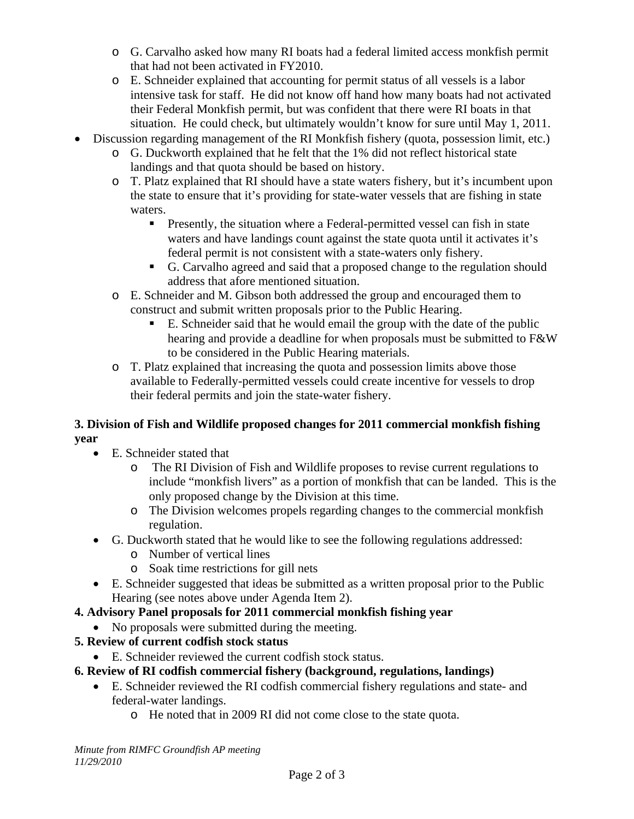- o G. Carvalho asked how many RI boats had a federal limited access monkfish permit that had not been activated in FY2010.
- o E. Schneider explained that accounting for permit status of all vessels is a labor intensive task for staff. He did not know off hand how many boats had not activated their Federal Monkfish permit, but was confident that there were RI boats in that situation. He could check, but ultimately wouldn't know for sure until May 1, 2011.
- Discussion regarding management of the RI Monkfish fishery (quota, possession limit, etc.)
	- o G. Duckworth explained that he felt that the 1% did not reflect historical state landings and that quota should be based on history.
	- o T. Platz explained that RI should have a state waters fishery, but it's incumbent upon the state to ensure that it's providing for state-water vessels that are fishing in state waters.
		- **Presently, the situation where a Federal-permitted vessel can fish in state** waters and have landings count against the state quota until it activates it's federal permit is not consistent with a state-waters only fishery.
		- G. Carvalho agreed and said that a proposed change to the regulation should address that afore mentioned situation.
	- o E. Schneider and M. Gibson both addressed the group and encouraged them to construct and submit written proposals prior to the Public Hearing.
		- E. Schneider said that he would email the group with the date of the public hearing and provide a deadline for when proposals must be submitted to  $F\&W$ to be considered in the Public Hearing materials.
	- o T. Platz explained that increasing the quota and possession limits above those available to Federally-permitted vessels could create incentive for vessels to drop their federal permits and join the state-water fishery.

#### **3. Division of Fish and Wildlife proposed changes for 2011 commercial monkfish fishing year**

- E. Schneider stated that
	- o The RI Division of Fish and Wildlife proposes to revise current regulations to include "monkfish livers" as a portion of monkfish that can be landed. This is the only proposed change by the Division at this time.
	- o The Division welcomes propels regarding changes to the commercial monkfish regulation.
- G. Duckworth stated that he would like to see the following regulations addressed:
	- o Number of vertical lines
	- o Soak time restrictions for gill nets
- E. Schneider suggested that ideas be submitted as a written proposal prior to the Public Hearing (see notes above under Agenda Item 2).
- **4. Advisory Panel proposals for 2011 commercial monkfish fishing year** 
	- No proposals were submitted during the meeting.
- **5. Review of current codfish stock status** 
	- E. Schneider reviewed the current codfish stock status.
- **6. Review of RI codfish commercial fishery (background, regulations, landings)** 
	- E. Schneider reviewed the RI codfish commercial fishery regulations and state- and federal-water landings.
		- o He noted that in 2009 RI did not come close to the state quota.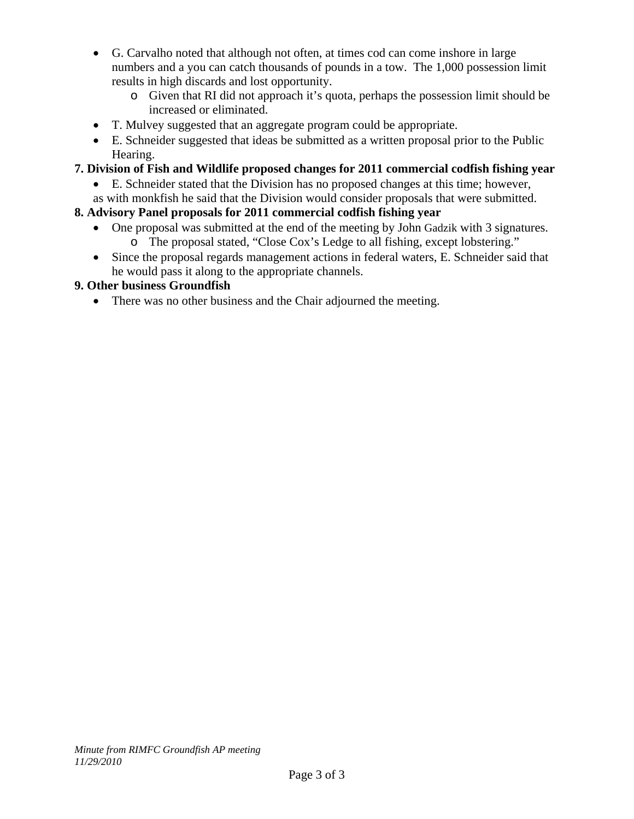- G. Carvalho noted that although not often, at times cod can come inshore in large numbers and a you can catch thousands of pounds in a tow. The 1,000 possession limit results in high discards and lost opportunity.
	- o Given that RI did not approach it's quota, perhaps the possession limit should be increased or eliminated.
- T. Mulvey suggested that an aggregate program could be appropriate.
- E. Schneider suggested that ideas be submitted as a written proposal prior to the Public Hearing.

#### **7. Division of Fish and Wildlife proposed changes for 2011 commercial codfish fishing year**

- E. Schneider stated that the Division has no proposed changes at this time; however,
- as with monkfish he said that the Division would consider proposals that were submitted.

#### **8. Advisory Panel proposals for 2011 commercial codfish fishing year**

- One proposal was submitted at the end of the meeting by John Gadzik with 3 signatures. o The proposal stated, "Close Cox's Ledge to all fishing, except lobstering."
- Since the proposal regards management actions in federal waters, E. Schneider said that he would pass it along to the appropriate channels.

#### **9. Other business Groundfish**

• There was no other business and the Chair adjourned the meeting.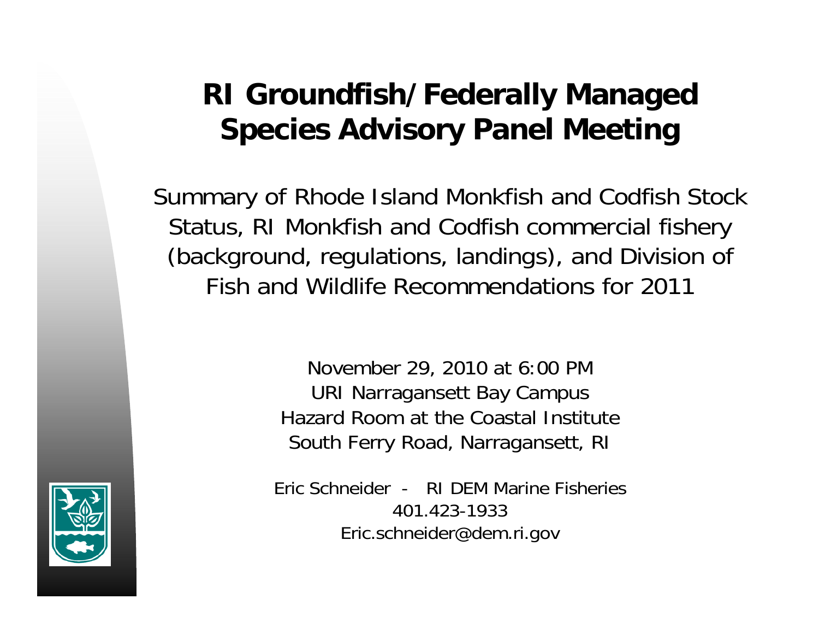# **RI Groundfish/Federally Managed Species Advisory Panel Meeting**

Summary of Rhode Island Monkfish and Codfish Stock Status, RI Monkfish and Codfish commercial fishery (background, regulations, landings), and Division of Fish and Wildlife Recommendations for 2011

> November 29, 2010 at 6:00 PM URI Narragansett Bay Campus Hazard Room at the Coastal Institute South Ferry Road, Narragansett, RI

Eric Schneider - RI DEM Marine Fisheries401.423-1933Eric.schneider@dem.ri.gov

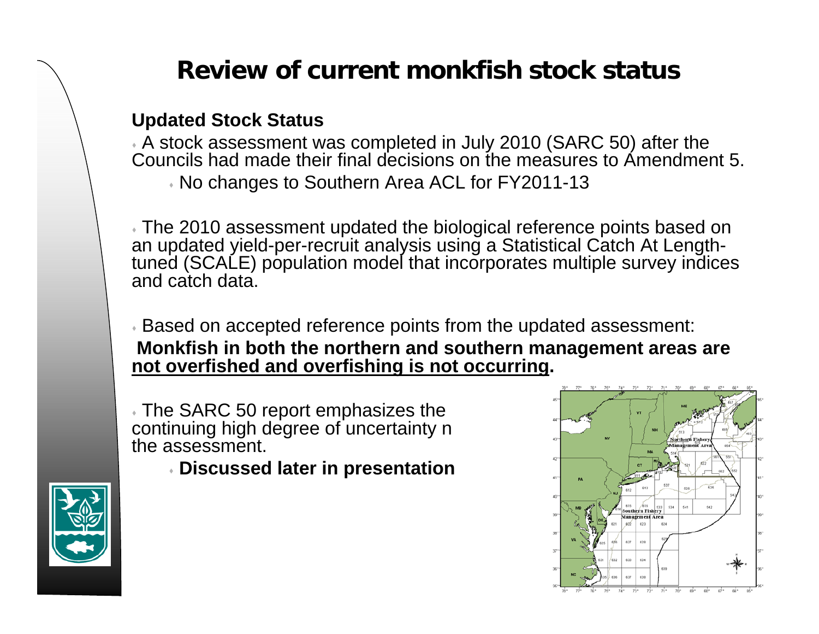#### **Updated Stock Status**

 A stock assessment was completed in July 2010 (SARC 50) after the Councils had made their final decisions on the measures to Amendment 5. No changes to Southern Area ACL for FY2011-13

 The 2010 assessment updated the biological reference points based on an updated yield-per-recruit analysis using a Statistical Catch At Lengthtuned (SCALE) population model that incorporates multiple survey indices and catch data.

 Based on accepted reference points from the updated assessment: **Monkfish in both the northern and southern management areas are not overfished and overfishing is not occurring.**

 The SARC 50 report emphasizes the continuing high degree of uncertainty n the assessment.

**Discussed later in presentation**



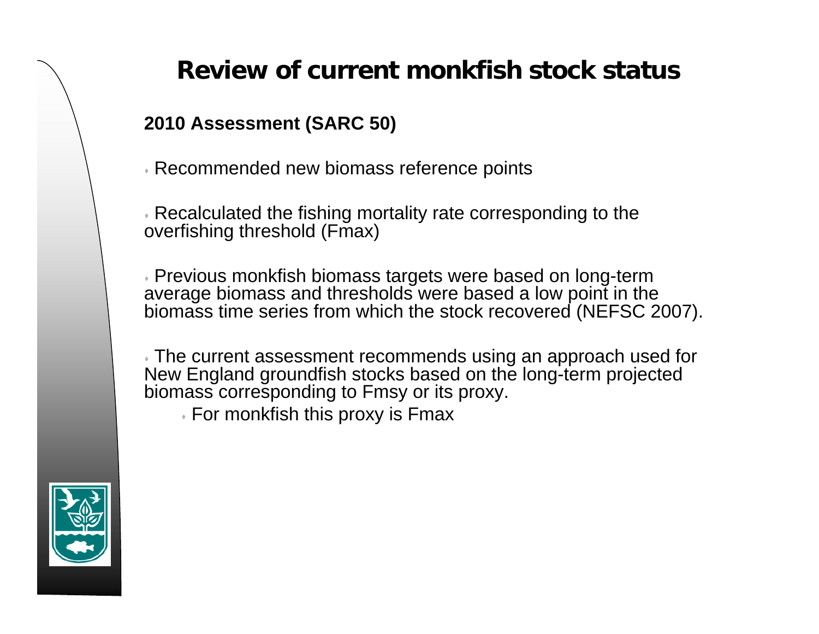**2010 Assessment (SARC 50)** 

Recommended new biomass reference points

 Recalculated the fishing mortality rate corresponding to the overfishing threshold (Fmax)

 Previous monkfish biomass targets were based on long-term average biomass and thresholds were based a low point in the biomass time series from which the stock recovered (NEFSC 2007).

 The current assessment recommends using an approach used for New England groundfish stocks based on the long-term projected biomass corresponding to Fmsy or its proxy.

 $\overline{\ }$  For monkfish this proxy is Fmax

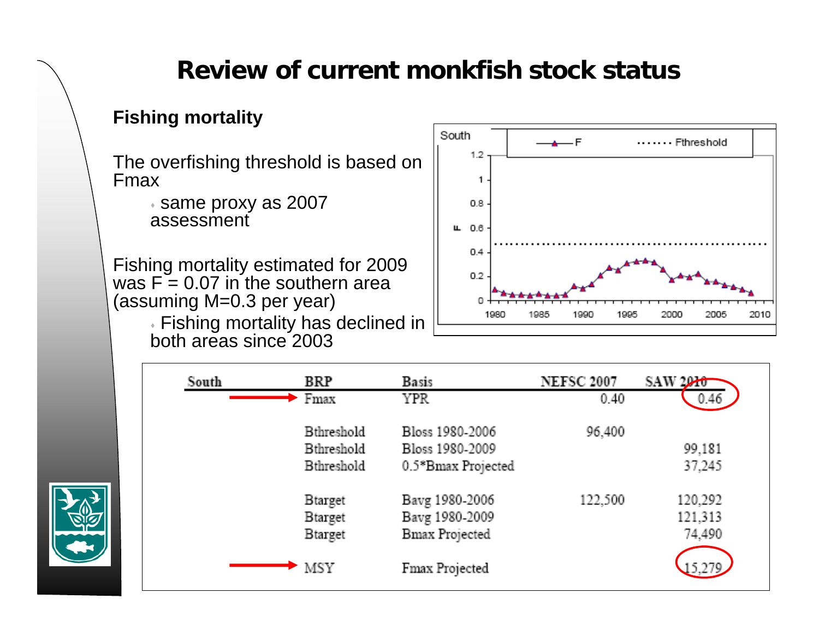## **Fishing mortality**

The overfishing threshold is based on Fmax

> $\overline{\phantom{a}}$  same proxy as 2007 assessment

Fishing mortality estimated for 2009 was F = 0.07 in the southern area (assuming M=0.3 per year)

> Fishing mortality has declined in both areas since 2003



| South | <b>BRP</b>        | <b>Basis</b>          | <b>NEFSC 2007</b> | SAW 2010 |
|-------|-------------------|-----------------------|-------------------|----------|
|       | Fmax              | YPR.                  | 0.40              | 0.46     |
|       | <b>Bthreshold</b> | Bloss 1980-2006       | 96,400            |          |
|       | <b>Bthreshold</b> | Bloss 1980-2009       |                   | 99,181   |
|       | Bthreshold        | 0.5*Bmax Projected    |                   | 37,245   |
|       | <b>Btarget</b>    | Bavg 1980-2006        | 122,500           | 120,292  |
|       | <b>B</b> target   | Bavg 1980-2009        |                   | 121,313  |
|       | <b>B</b> target   | <b>Bmax Projected</b> |                   | 74,490   |
|       | <b>MSY</b>        | Fmax Projected        |                   |          |

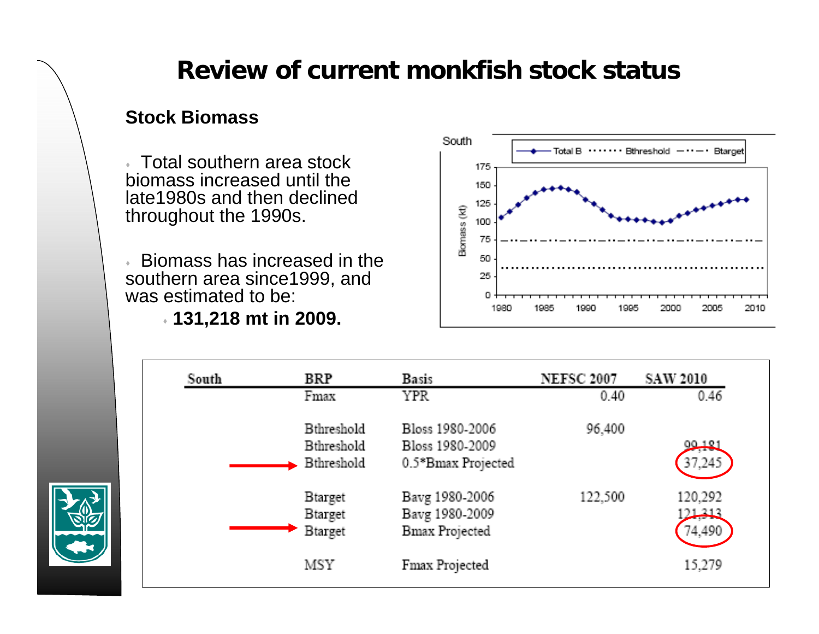#### **Stock Biomass**

 Total southern area stock biomass increased until the late1980s and then declined throughout the 1990s.

 $\mathcal{L}^{\pm}$  Biomass has increased in the southern area since1999, and was estimated to be:

**131,218 mt in 2009.**



| BRP               | <b>Basis</b>          | <b>NEFSC 2007</b> | <b>SAW 2010</b> |
|-------------------|-----------------------|-------------------|-----------------|
| Fmax              | YPR.                  | 0.40              | 0.46            |
| <b>Bthreshold</b> | Bloss 1980-2006       | 96,400            |                 |
| Bthreshold        | Bloss 1980-2009       |                   | $90 + 21$       |
| <b>Bthreshold</b> | 0.5*Bmax Projected    |                   | 37,245          |
| <b>B</b> target   | Bavg 1980-2006        | 122,500           | 120,292         |
| <b>Btarget</b>    | Bavg 1980-2009        |                   | لكرا            |
| <b>Btarget</b>    | <b>Bmax Projected</b> |                   | 74,490          |
| MSY               |                       |                   | 15,279          |
|                   |                       | Fmax Projected    |                 |

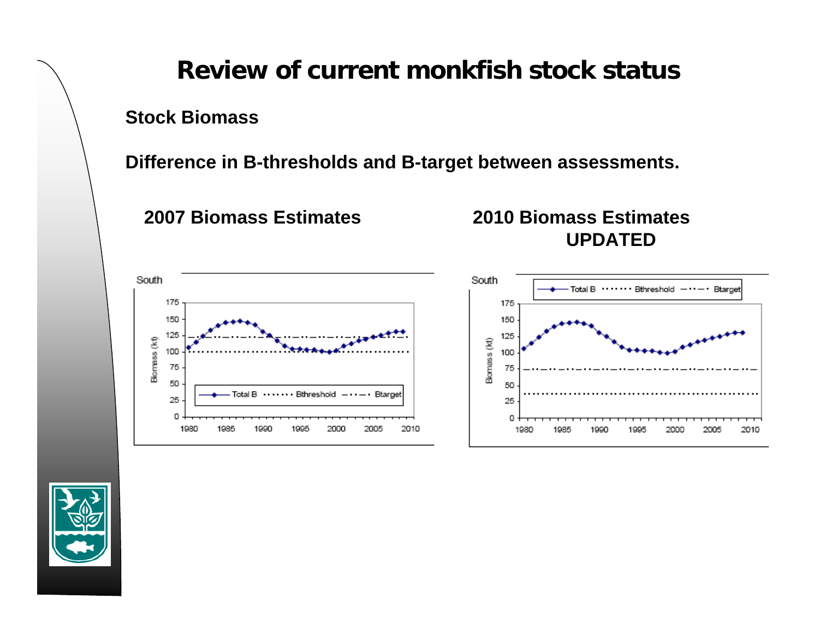**Stock Biomass**

**Difference in B-thresholds and B-target between assessments.**

**2007 Biomass Estimates 2010 Biomass Estimates UPDATED**



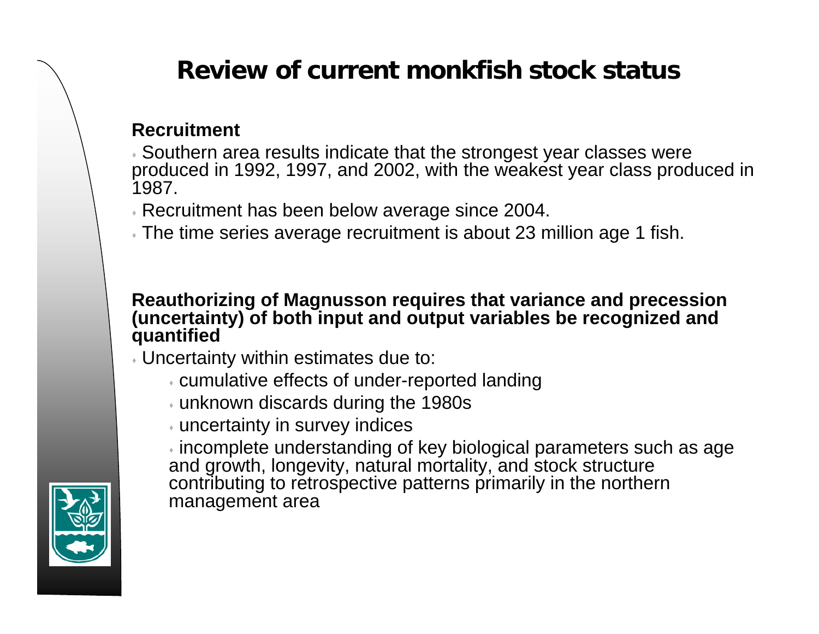#### **Recruitment**

 Southern area results indicate that the strongest year classes were produced in 1992, 1997, and 2002, with the weakest year class produced in 1987.

Recruitment has been below average since 2004.

 $\overline{\ }$  The time series average recruitment is about 23 million age 1 fish.

#### **Reauthorizing of Magnusson requires that variance and precession (uncertainty) of both input and output variables be recognized and quantified**

- Uncertainty within estimates due to:
	- cumulative effects of under-reported landing
	- unknown discards during the 1980s
	- uncertainty in survey indices

 $\overline{\cdot}$  incomplete understanding of key biological parameters such as age and growth, longevity, natural mortality, and stock structure contributing to retrospective patterns primarily in the northern management area

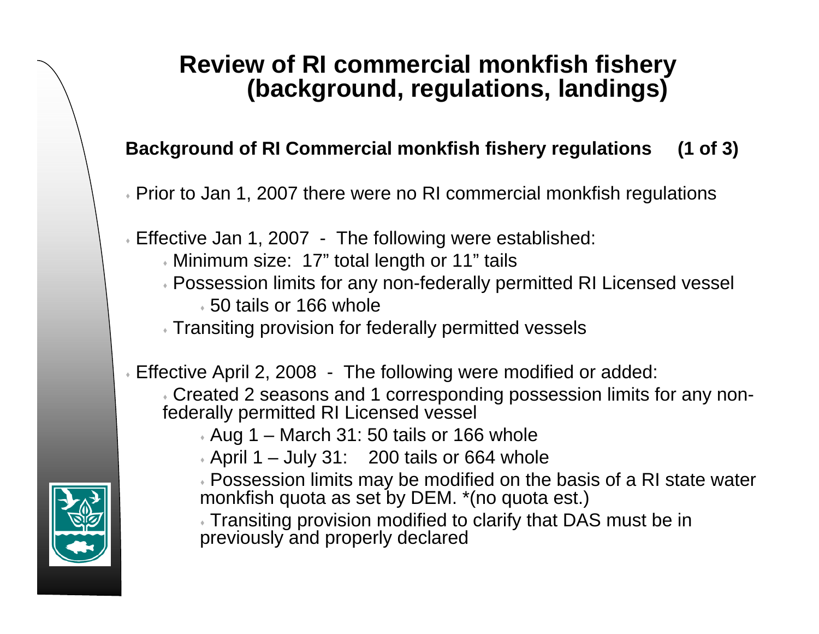### **Background of RI Commercial monkfish fishery regulations (1 of 3)**

- Prior to Jan 1, 2007 there were no RI commercial monkfish regulations
- Effective Jan 1, 2007 The following were established:
	- Minimum size: 17" total length or 11" tails
	- Possession limits for any non-federally permitted RI Licensed vessel
		- 50 tails or 166 whole
	- Transiting provision for federally permitted vessels
- Effective April 2, 2008 The following were modified or added:
	- Created 2 seasons and 1 corresponding possession limits for any nonfederally permitted RI Licensed vessel
		- Aug 1 March 31: 50 tails or 166 whole
		- April 1 July 31: 200 tails or 664 whole
		- Possession limits may be modified on the basis of a RI state water monkfish quota as set by DEM. \*(no quota est.)
		- Transiting provision modified to clarify that DAS must be in previously and properly declared

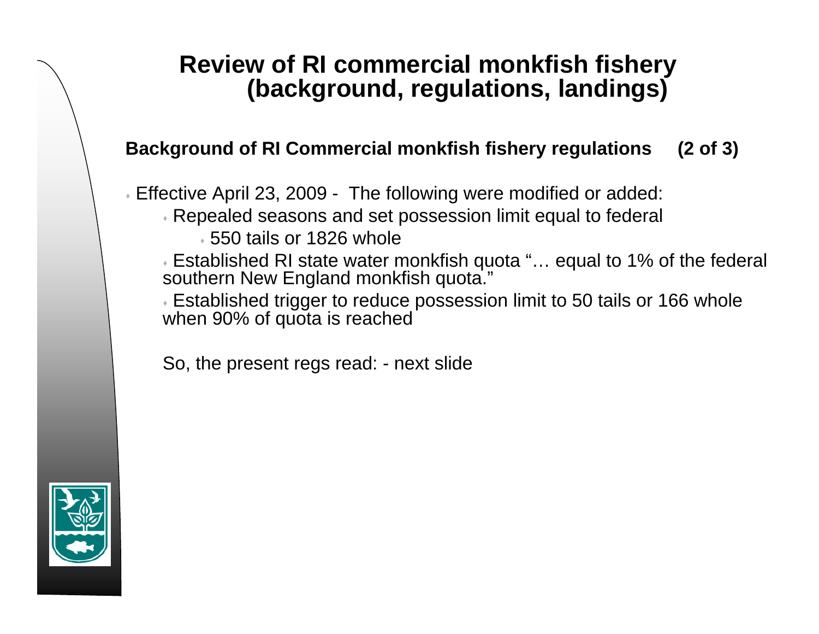#### **Background of RI Commercial monkfish fishery regulations (2 of 3)**

Effective April 23, 2009 - The following were modified or added:

- Repealed seasons and set possession limit equal to federal
	- 550 tails or 1826 whole

 Established RI state water monkfish quota "… equal to 1% of the federal southern New England monkfish quota."

 Established trigger to reduce possession limit to 50 tails or 166 whole when 90% of quota is reached

So, the present regs read: - next slide

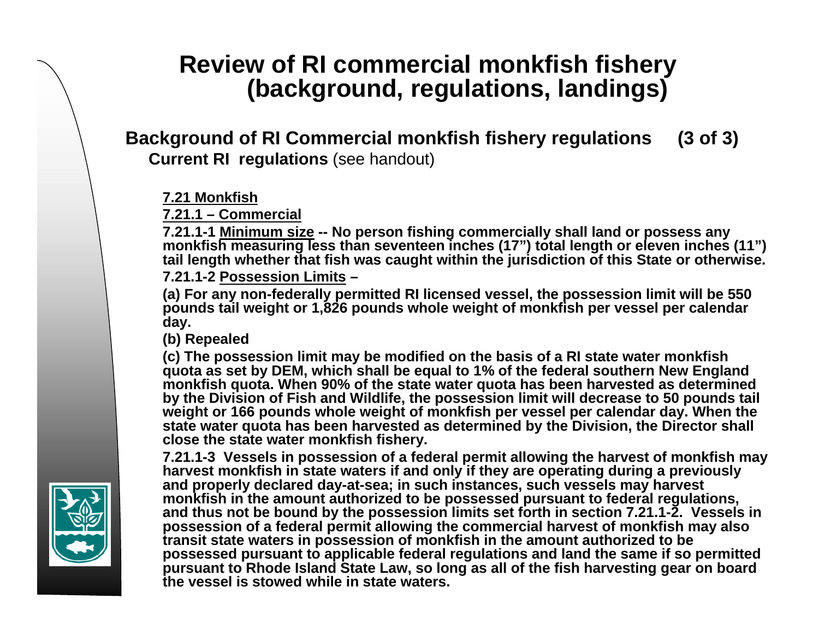#### **Background of RI Commercial monkfish fishery regulations (3 of 3) Current RI regulations** (see handout)

#### **7.21 Monkfish**

**7.21.1 – Commercial**

**7.21.1-1 Minimum size -- No person fishing commercially shall land or possess any monkfish measuring less than seventeen inches (17") total length or eleven inches (11") tail length whether that fish was caught within the jurisdiction of this State or otherwise.**

**7.21.1-2 Possession Limits–**

**(a) For any non-federally permitted RI licensed vessel, the possession limit will be 550 pounds tail weight or 1,826 pounds whole weight of monkfish per vessel per calendar day.** 

**(b) Repealed**

**(c) The possession limit may be modified on the basis of a RI state water monkfish quota as set by DEM, which shall be equal to 1% of the federal southern New England monkfish quota. When 90% of the state water quota has been harvested as determined by the Division of Fish and Wildlife, the possession limit will decrease to 50 pounds tail weight or 166 pounds whole weight of monkfish per vessel per calendar day. When the state water quota has been harvested as determined by the Division, the Director shall close the state water monkfish fishery.**

**7.21.1-3 Vessels in possession of a federal permit allowing the harvest of monkfish may harvest monkfish in state waters if and only if they are operating during a previously and properly declared day-at-sea; in such instances, such vessels may harvest monkfish in the amount authorized to be possessed pursuant to federal regulations, and thus not be bound by the possession limits set forth in section 7.21.1-2. Vessels in possession of a federal permit allowing the commercial harvest of monkfish may also transit state waters in possession of monkfish in the amount authorized to be possessed pursuant to applicable federal regulations and land the same if so permitted pursuant to Rhode Island State Law, so long as all of the fish harvesting gear on board the vessel is stowed while in state waters.**

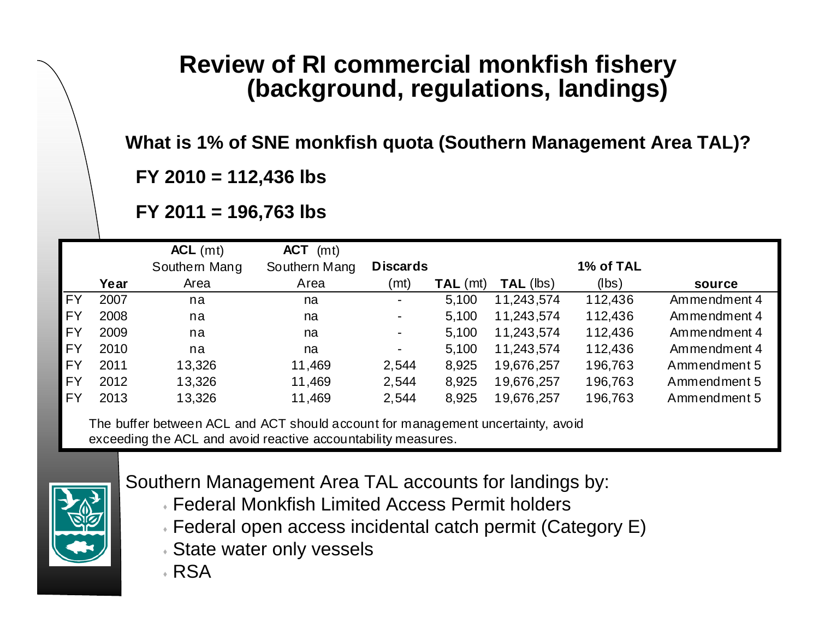**What is 1% of SNE monkfish quota (Southern Management Area TAL)?**

**FY 2010 = 112,436 lbs**

**FY 2011 = 196,763 lbs**

|           |      | $ACL$ (mt)                                                                                        | <b>ACT</b><br>(mt) |                 |            |                  |           |              |
|-----------|------|---------------------------------------------------------------------------------------------------|--------------------|-----------------|------------|------------------|-----------|--------------|
|           |      | Southern Mang                                                                                     | Southern Mang      | <b>Discards</b> |            |                  | 1% of TAL |              |
|           | Year | Area                                                                                              | Area               | (mt)            | $TAL$ (mt) | <b>TAL (lbs)</b> | (lbs)     | source       |
| <b>FY</b> | 2007 | na                                                                                                | na                 | ۰.              | 5,100      | 11,243,574       | 112,436   | Ammendment 4 |
| <b>FY</b> | 2008 | na                                                                                                | na                 | ۰               | 5,100      | 11,243,574       | 112,436   | Ammendment 4 |
| <b>FY</b> | 2009 | na                                                                                                | na                 | ۰.              | 5,100      | 11,243,574       | 112,436   | Ammendment 4 |
| <b>FY</b> | 2010 | na                                                                                                | na                 | Ξ.              | 5,100      | 11,243,574       | 112,436   | Ammendment 4 |
| <b>FY</b> | 2011 | 13,326                                                                                            | 11,469             | 2,544           | 8,925      | 19,676,257       | 196,763   | Ammendment 5 |
| <b>FY</b> | 2012 | 13,326                                                                                            | 11,469             | 2,544           | 8,925      | 19,676,257       | 196,763   | Ammendment 5 |
| <b>FY</b> | 2013 | 13,326                                                                                            | 11,469             | 2,544           | 8,925      | 19,676,257       | 196,763   | Ammendment 5 |
|           |      | The buffer between $\Lambda$ CL and $\Lambda$ CT should account for management uncertainty, avoid |                    |                 |            |                  |           |              |

The buffer between ACL and ACT should account for management uncertainty, avoid exceeding the ACL and avoid reactive accountability measures.



Southern Management Area TAL accounts for landings by:

- Federal Monkfish Limited Access Permit holders
- Federal open access incidental catch permit (Category E)
- State water only vessels
- RSA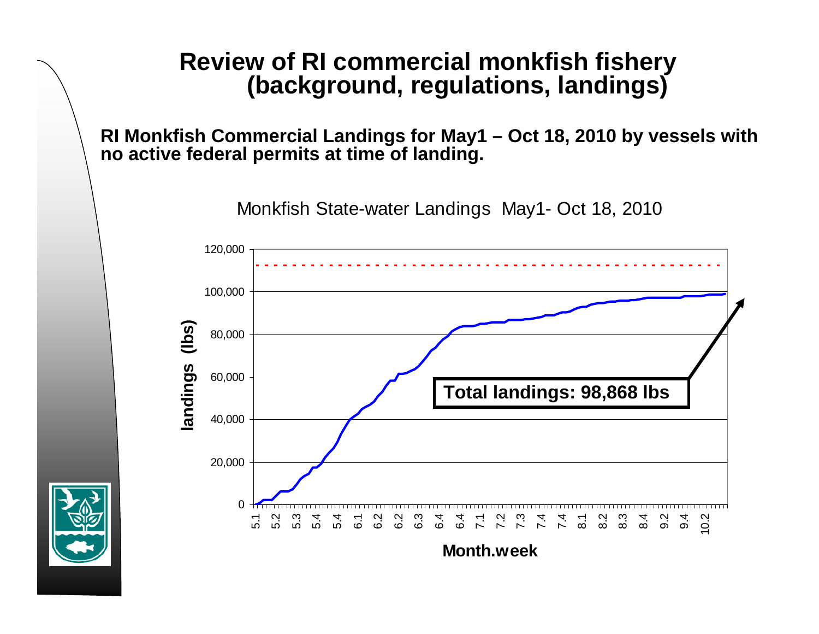**RI Monkfish Commercial Landings for May1 – Oct 18, 2010 by vessels with no active federal permits at time of landing.** 

Monkfish State-water Landings May1- Oct 18, 2010



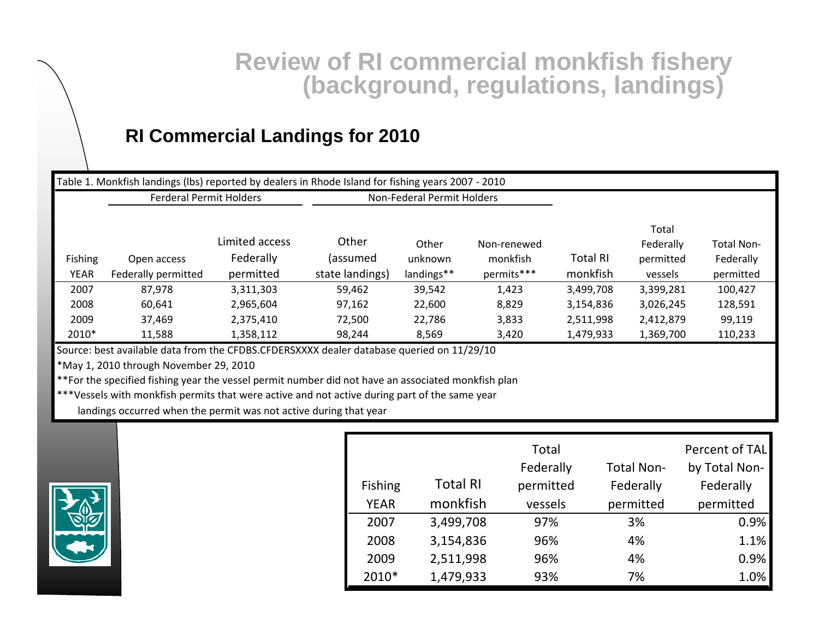## **RI Commercial Landings for 2010**

|                                                                                                                                                                                                                                           | Table 1. Monkfish landings (Ibs) reported by dealers in Rhode Island for fishing years 2007 - 2010 |                |                 |                            |             |                 |                    |                |
|-------------------------------------------------------------------------------------------------------------------------------------------------------------------------------------------------------------------------------------------|----------------------------------------------------------------------------------------------------|----------------|-----------------|----------------------------|-------------|-----------------|--------------------|----------------|
|                                                                                                                                                                                                                                           | <b>Ferderal Permit Holders</b>                                                                     |                |                 | Non-Federal Permit Holders |             |                 |                    |                |
|                                                                                                                                                                                                                                           |                                                                                                    | Limited access | Other           | Other                      | Non-renewed |                 | Total<br>Federally | Total Non-     |
| Fishing                                                                                                                                                                                                                                   | Open access                                                                                        | Federally      | (assumed        | unknown                    | monkfish    | <b>Total RI</b> | permitted          | Federally      |
| <b>YEAR</b>                                                                                                                                                                                                                               | Federally permitted                                                                                | permitted      | state landings) | landings**                 | permits***  | monkfish        | vessels            | permitted      |
| 2007                                                                                                                                                                                                                                      | 87,978                                                                                             | 3,311,303      | 59,462          | 39,542                     | 1,423       | 3,499,708       | 3,399,281          | 100,427        |
| 2008                                                                                                                                                                                                                                      | 60,641                                                                                             | 2,965,604      | 97,162          | 22,600                     | 8,829       | 3,154,836       | 3,026,245          | 128,591        |
| 2009                                                                                                                                                                                                                                      | 37,469                                                                                             | 2,375,410      | 72,500          | 22,786                     | 3,833       | 2,511,998       | 2,412,879          | 99,119         |
| 2010*                                                                                                                                                                                                                                     | 11,588                                                                                             | 1,358,112      | 98,244          | 8,569                      | 3,420       | 1,479,933       | 1,369,700          | 110,233        |
| Source: best available data from the CFDBS.CFDERSXXXX dealer database queried on 11/29/10<br>*May 1, 2010 through November 29, 2010<br>**For the specified fishing year the vessel permit number did not have an associated monkfish plan |                                                                                                    |                |                 |                            |             |                 |                    |                |
| ***Vessels with monkfish permits that were active and not active during part of the same year<br>landings occurred when the permit was not active during that year                                                                        |                                                                                                    |                |                 |                            |             |                 |                    |                |
|                                                                                                                                                                                                                                           |                                                                                                    |                |                 |                            | Total       |                 |                    | Percent of TAL |



|                |                 | Total     |                   | Percent of TAL |
|----------------|-----------------|-----------|-------------------|----------------|
|                |                 | Federally | <b>Total Non-</b> | by Total Non-  |
| <b>Fishing</b> | <b>Total RI</b> | permitted | Federally         | Federally      |
| <b>YEAR</b>    | monkfish        | vessels   | permitted         | permitted      |
| 2007           | 3,499,708       | 97%       | 3%                | 0.9%           |
| 2008           | 3,154,836       | 96%       | 4%                | 1.1%           |
| 2009           | 2,511,998       | 96%       | 4%                | 0.9%           |
| 2010*          | 1,479,933       | 93%       | 7%                | 1.0%           |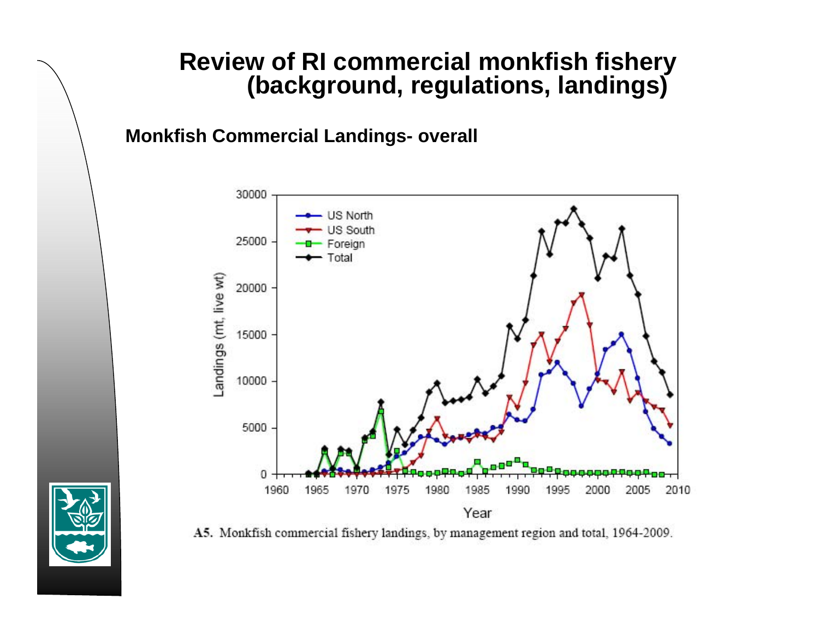**Monkfish Commercial Landings- overall**



A5. Monkfish commercial fishery landings, by management region and total, 1964-2009.

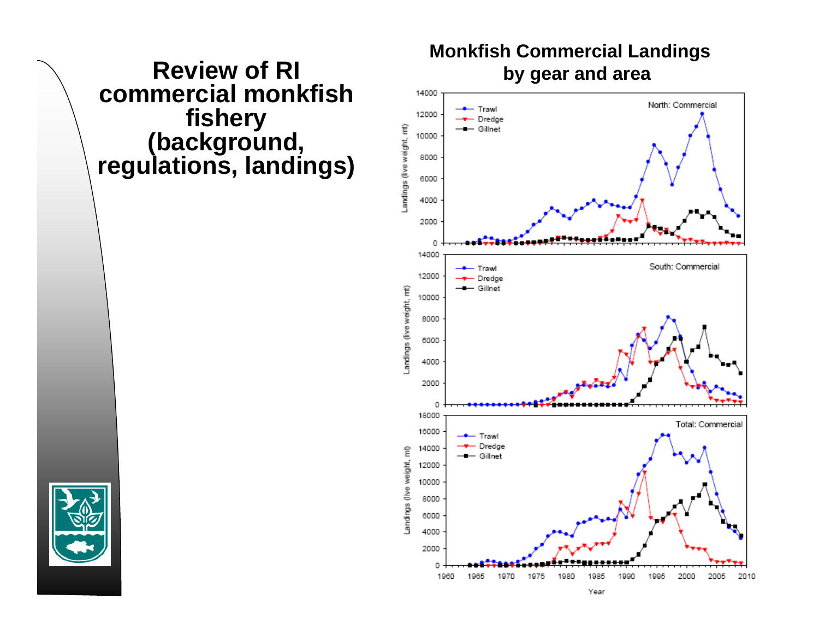**Review of RI** Monkfish Commercial Landings<br>by gear and area



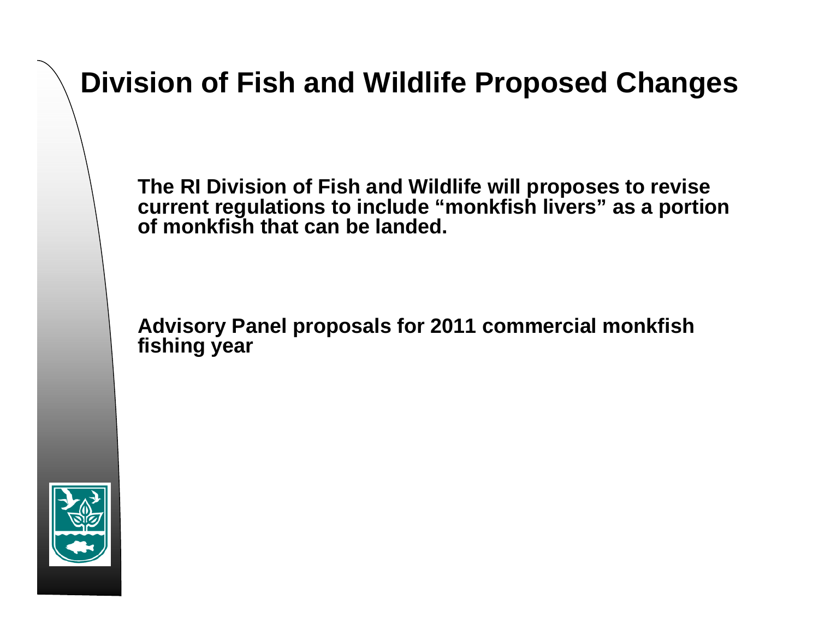# **Division of Fish and Wildlife Proposed Changes**

**The RI Division of Fish and Wildlife will proposes to revise current regulations to include "monkfish livers" as a portion of monkfish that can be landed.**

**Advisory Panel proposals for 2011 commercial monkfish fishing year**

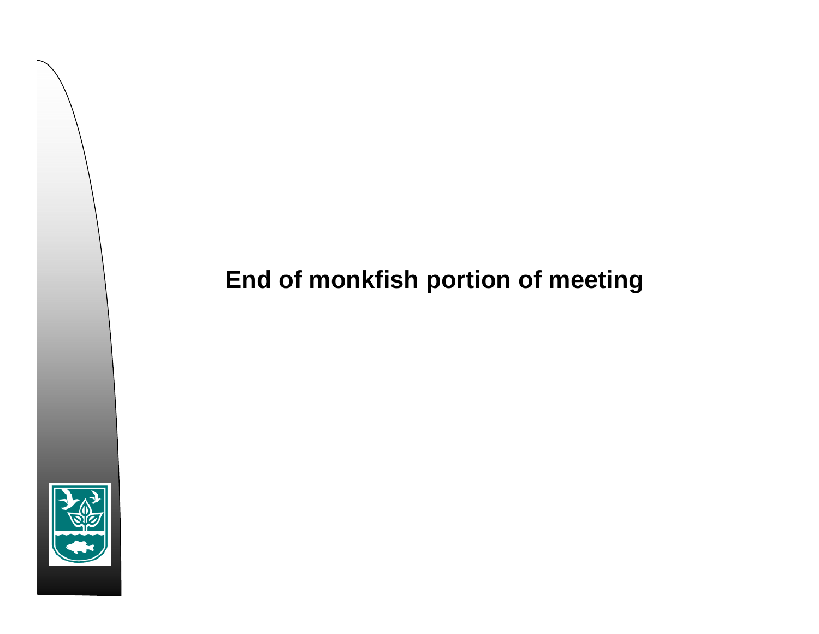# **End of monkfish portion of meeting**

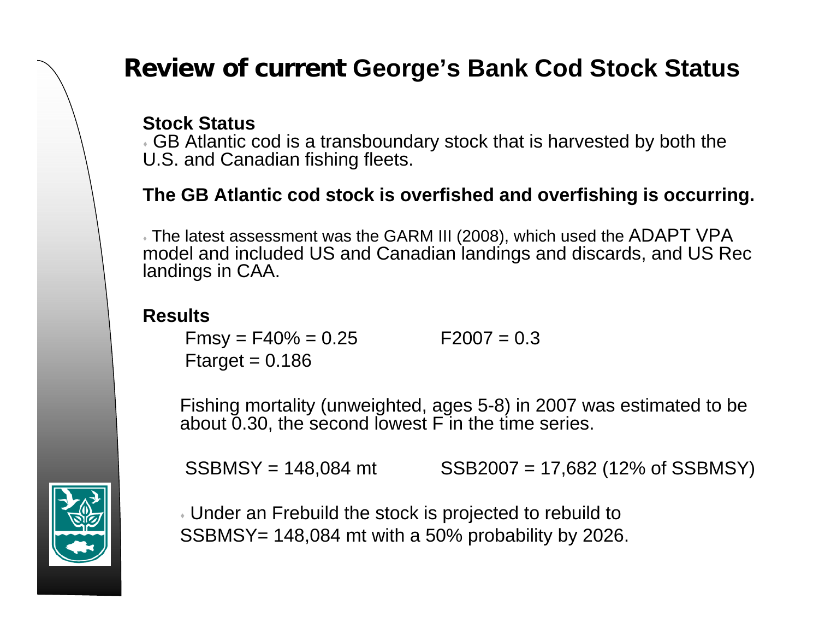# **Review of current George's Bank Cod Stock Status**

#### **Stock Status**

 GB Atlantic cod is a transboundary stock that is harvested by both the U.S. and Canadian fishing fleets.

#### **The GB Atlantic cod stock is overfished and overfishing is occurring.**

 $\overline{*}$  The latest assessment was the GARM III (2008), which used the <code>ADAPT VPA</code> model and included US and Canadian landings and discards, and US Rec landings in CAA.

#### **Results**

 $Fmsv = F40\% = 0.25$   $F2007 = 0.3$ Ftarget  $= 0.186$ 

Fishing mortality (unweighted, ages 5-8) in 2007 was estimated to be about 0.30, the second lowest F in the time series.

 $SSBMSY = 148,084 \text{ mt}$   $SSB2007 = 17,682 (12\% \text{ of } SSBMSY)$ 

 Under an Frebuild the stock is projected to rebuild to SSBMSY= 148,084 mt with a 50% probability by 2026.

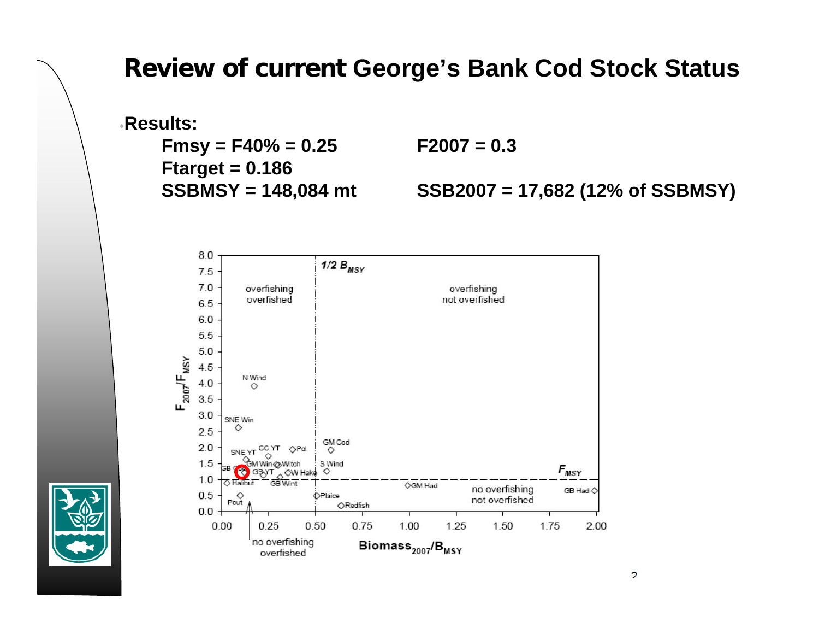## **Review of current George's Bank Cod Stock Status**

**Results:** $Fmsy = F40\% = 0.25$  **F2007** = 0.3 **Ftarget = 0.186**

**SSBMSY = 148,084 mt SSB2007 = 17,682 (12% of SSBMSY)**



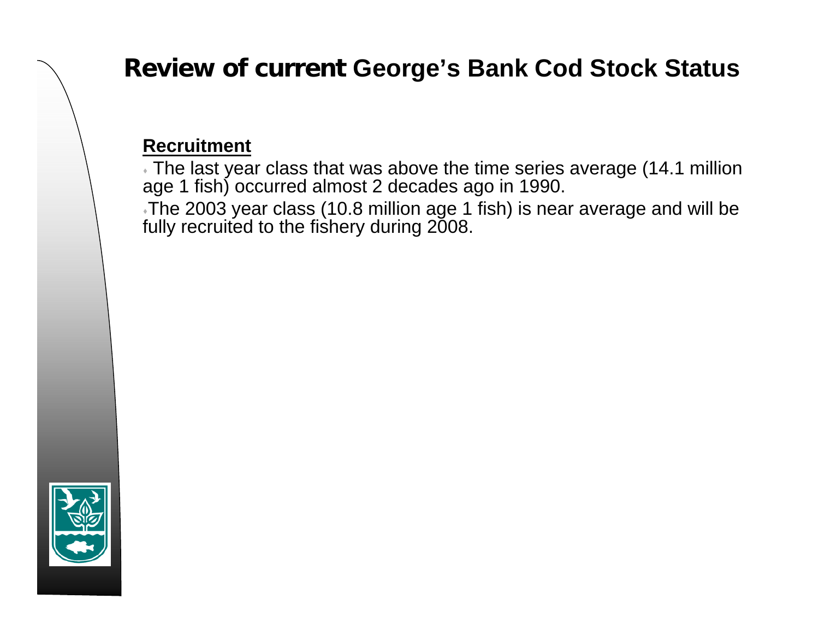# **Review of current George's Bank Cod Stock Status**

### **Recruitment**

 The last year class that was above the time series average (14.1 million age 1 fish) occurred almost 2 decades ago in 1990.

The 2003 year class (10.8 million age 1 fish) is near average and will be fully recruited to the fishery during 2008.

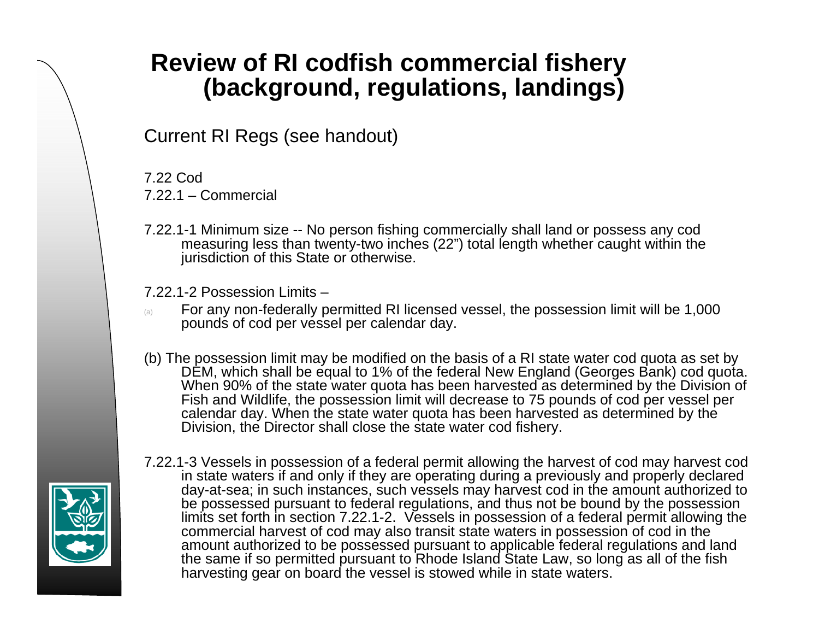# **Review of RI codfish commercial fishery (background, regulations, landings)**

Current RI Regs (see handout)

7.22 Cod 7.22.1 – Commercial

7.22.1-1 Minimum size -- No person fishing commercially shall land or possess any cod measuring less than twenty-two inches (22") total length whether caught within the jurisdiction of this State or otherwise.

7.22.1-2 Possession Limits –

- (a) For any non-federally permitted RI licensed vessel, the possession limit will be 1,000 pounds of cod per vessel per calendar day.
- (b) The possession limit may be modified on the basis of a RI state water cod quota as set by DEM, which shall be equal to 1% of the federal New England (Georges Bank) cod quota. When 90% of the state water quota has been harvested as determined by the Division of Fish and Wildlife, the possession limit will decrease to 75 pounds of cod per vessel per calendar day. When the state water quota has been harvested as determined by the Division, the Director shall close the state water cod fishery.



7.22.1-3 Vessels in possession of a federal permit allowing the harvest of cod may harvest cod in state waters if and only if they are operating during a previously and properly declared day-at-sea; in such instances, such vessels may harvest cod in the amount authorized to be possessed pursuant to federal regulations, and thus not be bound by the possession limits set forth in section 7.22.1-2. Vessels in possession of a federal permit allowing the commercial harvest of cod may also transit state waters in possession of cod in the amount authorized to be possessed pursuant to applicable federal regulations and land the same if so permitted pursuant to Rhode Island State Law, so long as all of the fish harvesting gear on board the vessel is stowed while in state waters.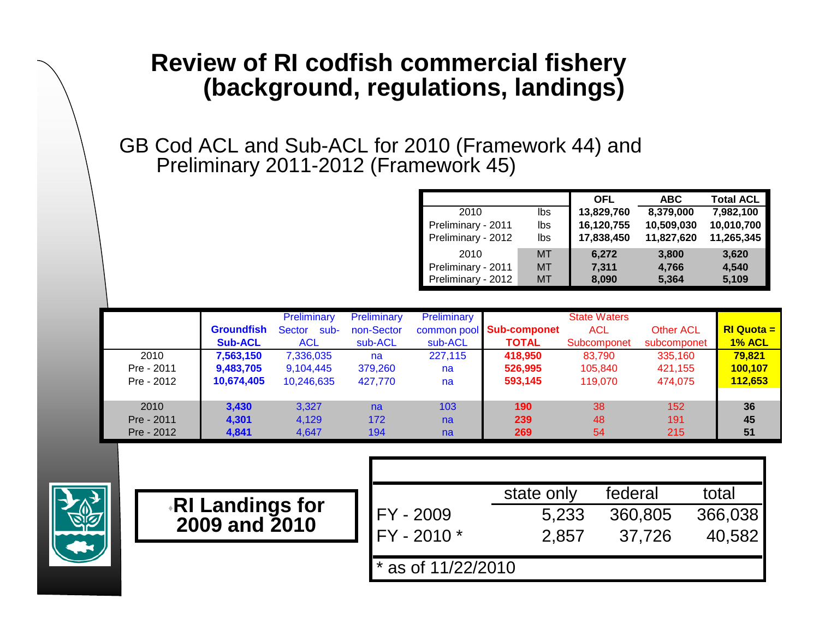## **Review of RI codfish commercial fishery (background, regulations, landings)**

GB Cod ACL and Sub-ACL for 2010 (Framework 44) and Preliminary 2011-2012 (Framework 45)

|                    |           | <b>OFL</b> | <b>ABC</b> | <b>Total ACL</b> |
|--------------------|-----------|------------|------------|------------------|
| 2010               | lbs       | 13,829,760 | 8,379,000  | 7,982,100        |
| Preliminary - 2011 | lbs       | 16,120,755 | 10,509,030 | 10,010,700       |
| Preliminary - 2012 | lbs       | 17,838,450 | 11,827,620 | 11,265,345       |
| 2010               | <b>MT</b> | 6.272      | 3,800      | 3,620            |
| Preliminary - 2011 | MT        | 7,311      | 4,766      | 4,540            |
| Preliminary - 2012 | MT        | 8,090      | 5,364      | 5,109            |

|            |                   | Preliminary    | Preliminary | Preliminary |                            | <b>State Waters</b> |                  |               |
|------------|-------------------|----------------|-------------|-------------|----------------------------|---------------------|------------------|---------------|
|            | <b>Groundfish</b> | Sector<br>sub- | non-Sector  |             | common pool   Sub-componet | <b>ACL</b>          | <b>Other ACL</b> | $R1$ Quota =  |
|            | <b>Sub-ACL</b>    | <b>ACL</b>     | sub-ACL     | sub-ACL     | <b>TOTAL</b>               | Subcomponet         | subcomponet      | <b>1% ACL</b> |
| 2010       | 7,563,150         | 7,336,035      | na          | 227,115     | 418,950                    | 83.790              | 335,160          | 79,821        |
| Pre - 2011 | 9,483,705         | 9,104,445      | 379,260     | na          | 526,995                    | 105,840             | 421,155          | 100,107       |
| Pre - 2012 | 10,674,405        | 10,246,635     | 427,770     | na          | 593,145                    | 119.070             | 474,075          | 112,653       |
|            |                   |                |             |             |                            |                     |                  |               |
| 2010       | 3,430             | 3.327          | na          | 103         | 190                        | 38                  | 152 <sub>1</sub> | 36            |
| Pre - 2011 | 4.301             | 4,129          | 172         | na          | 239                        | 48                  | 191              | 45            |
| Pre - 2012 | 4,841             | 4.647          | 194         | na          | 269                        | 54                  | 215              | 51            |



|                                  |                      | state only | federal | total   |
|----------------------------------|----------------------|------------|---------|---------|
| RI Landings for<br>2009 and 2010 | FY - 2009            | 5.233      | 360,805 | 366,038 |
|                                  | $IFY - 2010 *$       | 2.857      | 37.726  | 40,582  |
|                                  |                      |            |         |         |
|                                  | $*$ as of 11/22/2010 |            |         |         |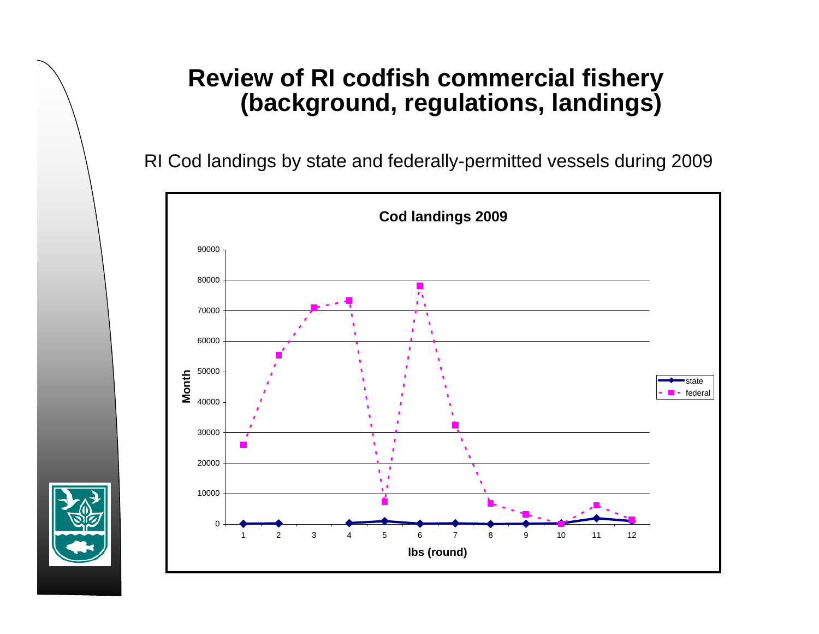## **Review of RI codfish commercial fishery (background, regulations, landings)**

RI Cod landings by state and federally-permitted vessels during 2009



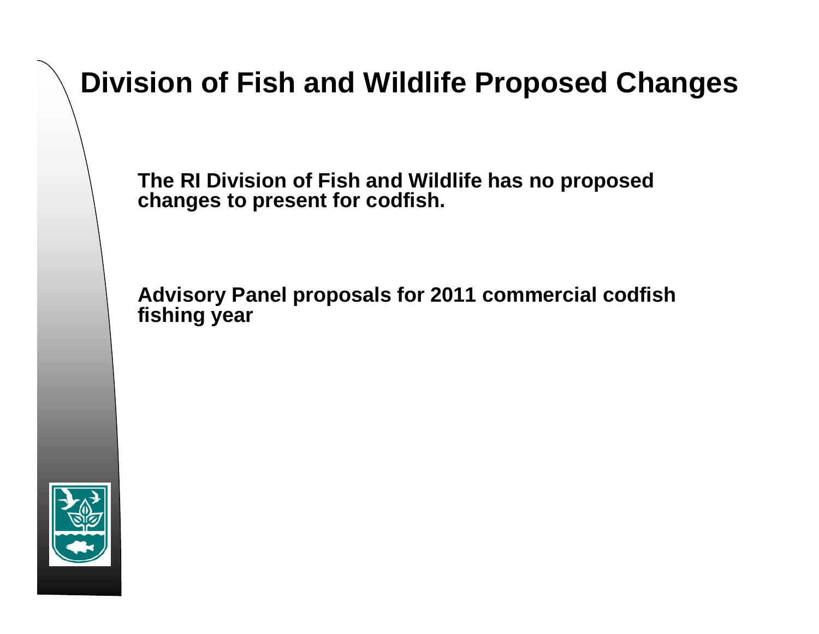# **Division of Fish and Wildlife Proposed Changes**

**The RI Division of Fish and Wildlife has no proposed changes to present for codfish.**

**Advisory Panel proposals for 2011 commercial codfish fishing year**